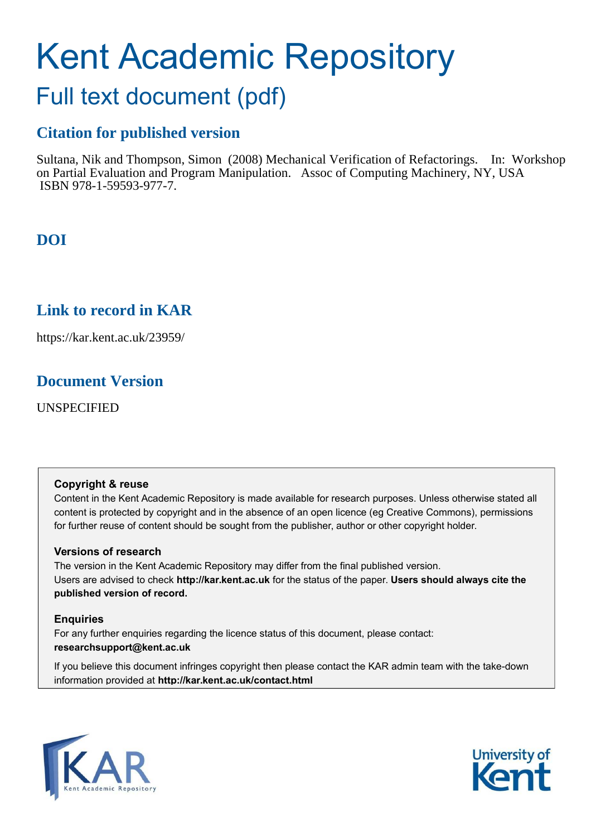# Kent Academic Repository

## Full text document (pdf)

## **Citation for published version**

Sultana, Nik and Thompson, Simon (2008) Mechanical Verification of Refactorings. In: Workshop on Partial Evaluation and Program Manipulation. Assoc of Computing Machinery, NY, USA ISBN 978-1-59593-977-7.

## **DOI**

## **Link to record in KAR**

https://kar.kent.ac.uk/23959/

## **Document Version**

UNSPECIFIED

#### **Copyright & reuse**

Content in the Kent Academic Repository is made available for research purposes. Unless otherwise stated all content is protected by copyright and in the absence of an open licence (eg Creative Commons), permissions for further reuse of content should be sought from the publisher, author or other copyright holder.

#### **Versions of research**

The version in the Kent Academic Repository may differ from the final published version. Users are advised to check **http://kar.kent.ac.uk** for the status of the paper. **Users should always cite the published version of record.**

#### **Enquiries**

For any further enquiries regarding the licence status of this document, please contact: **researchsupport@kent.ac.uk**

If you believe this document infringes copyright then please contact the KAR admin team with the take-down information provided at **http://kar.kent.ac.uk/contact.html**



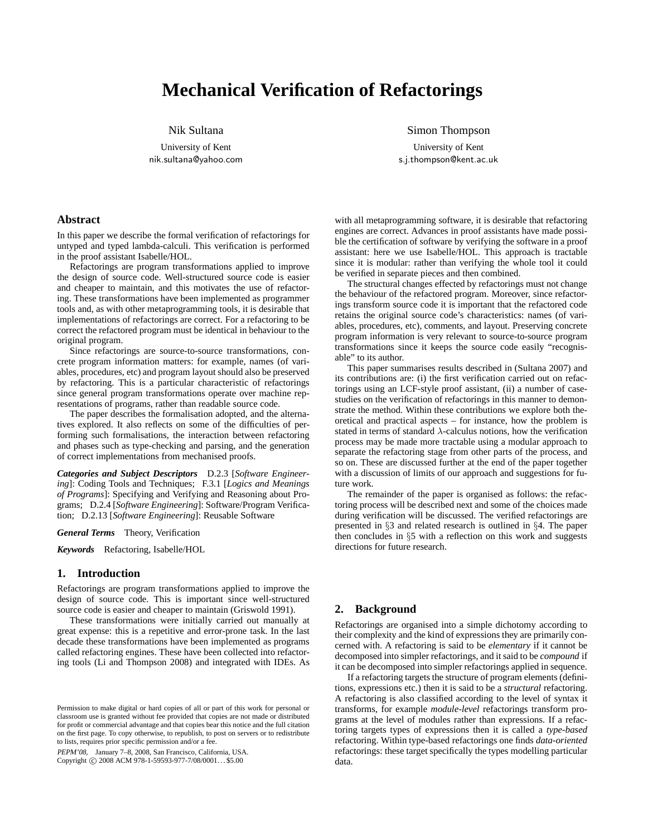### **Mechanical Verification of Refactorings**

Nik Sultana

University of Kent nik.sultana@yahoo.com

Simon Thompson University of Kent s.j.thompson@kent.ac.uk

#### **Abstract**

In this paper we describe the formal verification of refactorings for untyped and typed lambda-calculi. This verification is performed in the proof assistant Isabelle/HOL.

Refactorings are program transformations applied to improve the design of source code. Well-structured source code is easier and cheaper to maintain, and this motivates the use of refactoring. These transformations have been implemented as programmer tools and, as with other metaprogramming tools, it is desirable that implementations of refactorings are correct. For a refactoring to be correct the refactored program must be identical in behaviour to the original program.

Since refactorings are source-to-source transformations, concrete program information matters: for example, names (of variables, procedures, etc) and program layout should also be preserved by refactoring. This is a particular characteristic of refactorings since general program transformations operate over machine representations of programs, rather than readable source code.

The paper describes the formalisation adopted, and the alternatives explored. It also reflects on some of the difficulties of performing such formalisations, the interaction between refactoring and phases such as type-checking and parsing, and the generation of correct implementations from mechanised proofs.

*Categories and Subject Descriptors* D.2.3 [*Software Engineering*]: Coding Tools and Techniques; F.3.1 [*Logics and Meanings of Programs*]: Specifying and Verifying and Reasoning about Programs; D.2.4 [*Software Engineering*]: Software/Program Verification; D.2.13 [*Software Engineering*]: Reusable Software

*General Terms* Theory, Verification

*Keywords* Refactoring, Isabelle/HOL

#### **1. Introduction**

Refactorings are program transformations applied to improve the design of source code. This is important since well-structured source code is easier and cheaper to maintain (Griswold 1991).

These transformations were initially carried out manually at great expense: this is a repetitive and error-prone task. In the last decade these transformations have been implemented as programs called refactoring engines. These have been collected into refactoring tools (Li and Thompson 2008) and integrated with IDEs. As

PEPM'08, January 7–8, 2008, San Francisco, California, USA. Copyright © 2008 ACM 978-1-59593-977-7/08/0001... \$5.00

with all metaprogramming software, it is desirable that refactoring engines are correct. Advances in proof assistants have made possible the certification of software by verifying the software in a proof assistant: here we use Isabelle/HOL. This approach is tractable since it is modular: rather than verifying the whole tool it could be verified in separate pieces and then combined.

The structural changes effected by refactorings must not change the behaviour of the refactored program. Moreover, since refactorings transform source code it is important that the refactored code retains the original source code's characteristics: names (of variables, procedures, etc), comments, and layout. Preserving concrete program information is very relevant to source-to-source program transformations since it keeps the source code easily "recognisable" to its author.

This paper summarises results described in (Sultana 2007) and its contributions are: (i) the first verification carried out on refactorings using an LCF-style proof assistant, (ii) a number of casestudies on the verification of refactorings in this manner to demonstrate the method. Within these contributions we explore both theoretical and practical aspects – for instance, how the problem is stated in terms of standard  $\lambda$ -calculus notions, how the verification process may be made more tractable using a modular approach to separate the refactoring stage from other parts of the process, and so on. These are discussed further at the end of the paper together with a discussion of limits of our approach and suggestions for future work.

The remainder of the paper is organised as follows: the refactoring process will be described next and some of the choices made during verification will be discussed. The verified refactorings are presented in §3 and related research is outlined in §4. The paper then concludes in §5 with a reflection on this work and suggests directions for future research.

#### **2. Background**

Refactorings are organised into a simple dichotomy according to their complexity and the kind of expressions they are primarily concerned with. A refactoring is said to be *elementary* if it cannot be decomposed into simpler refactorings, and it said to be *compound* if it can be decomposed into simpler refactorings applied in sequence.

If a refactoring targets the structure of program elements (definitions, expressions etc.) then it is said to be a *structural* refactoring. A refactoring is also classified according to the level of syntax it transforms, for example *module-level* refactorings transform programs at the level of modules rather than expressions. If a refactoring targets types of expressions then it is called a *type-based* refactoring. Within type-based refactorings one finds *data-oriented* refactorings: these target specifically the types modelling particular data.

Permission to make digital or hard copies of all or part of this work for personal or classroom use is granted without fee provided that copies are not made or distributed for profit or commercial advantage and that copies bear this notice and the full citation on the first page. To copy otherwise, to republish, to post on servers or to redistribute to lists, requires prior specific permission and/or a fee.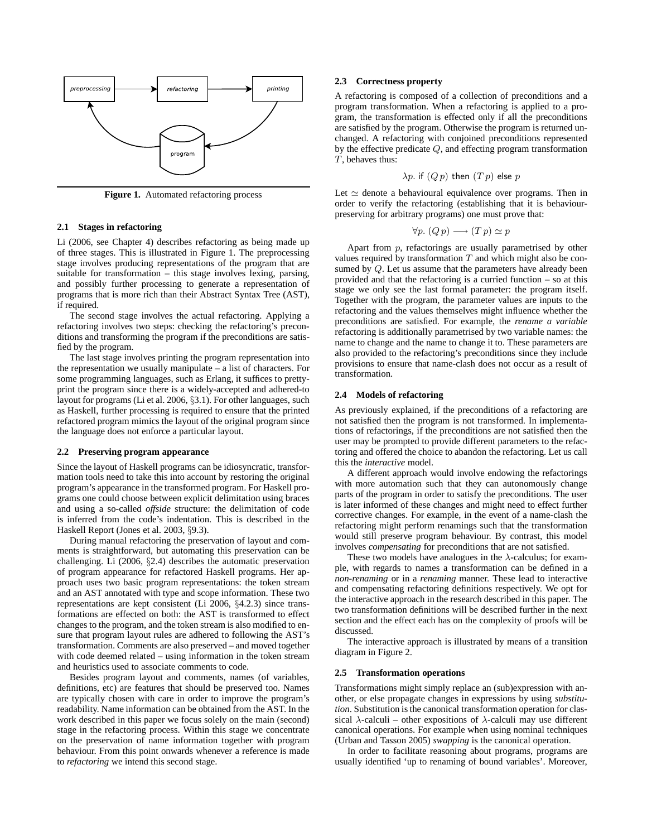

**Figure 1.** Automated refactoring process

#### **2.1 Stages in refactoring**

Li (2006, see Chapter 4) describes refactoring as being made up of three stages. This is illustrated in Figure 1. The preprocessing stage involves producing representations of the program that are suitable for transformation – this stage involves lexing, parsing, and possibly further processing to generate a representation of programs that is more rich than their Abstract Syntax Tree (AST), if required.

The second stage involves the actual refactoring. Applying a refactoring involves two steps: checking the refactoring's preconditions and transforming the program if the preconditions are satisfied by the program.

The last stage involves printing the program representation into the representation we usually manipulate – a list of characters. For some programming languages, such as Erlang, it suffices to prettyprint the program since there is a widely-accepted and adhered-to layout for programs (Li et al. 2006, §3.1). For other languages, such as Haskell, further processing is required to ensure that the printed refactored program mimics the layout of the original program since the language does not enforce a particular layout.

#### **2.2 Preserving program appearance**

Since the layout of Haskell programs can be idiosyncratic, transformation tools need to take this into account by restoring the original program's appearance in the transformed program. For Haskell programs one could choose between explicit delimitation using braces and using a so-called *offside* structure: the delimitation of code is inferred from the code's indentation. This is described in the Haskell Report (Jones et al. 2003, §9.3).

During manual refactoring the preservation of layout and comments is straightforward, but automating this preservation can be challenging. Li (2006, §2.4) describes the automatic preservation of program appearance for refactored Haskell programs. Her approach uses two basic program representations: the token stream and an AST annotated with type and scope information. These two representations are kept consistent (Li 2006, §4.2.3) since transformations are effected on both: the AST is transformed to effect changes to the program, and the token stream is also modified to ensure that program layout rules are adhered to following the AST's transformation. Comments are also preserved – and moved together with code deemed related – using information in the token stream and heuristics used to associate comments to code.

Besides program layout and comments, names (of variables, definitions, etc) are features that should be preserved too. Names are typically chosen with care in order to improve the program's readability. Name information can be obtained from the AST. In the work described in this paper we focus solely on the main (second) stage in the refactoring process. Within this stage we concentrate on the preservation of name information together with program behaviour. From this point onwards whenever a reference is made to *refactoring* we intend this second stage.

#### **2.3 Correctness property**

A refactoring is composed of a collection of preconditions and a program transformation. When a refactoring is applied to a program, the transformation is effected only if all the preconditions are satisfied by the program. Otherwise the program is returned unchanged. A refactoring with conjoined preconditions represented by the effective predicate Q, and effecting program transformation T, behaves thus:

$$
\lambda p. \text{ if } (Q p) \text{ then } (T p) \text{ else } p
$$

Let  $\simeq$  denote a behavioural equivalence over programs. Then in order to verify the refactoring (establishing that it is behaviourpreserving for arbitrary programs) one must prove that:

$$
\forall p. (Q p) \longrightarrow (T p) \simeq p
$$

Apart from  $p$ , refactorings are usually parametrised by other values required by transformation  $T$  and which might also be consumed by  $Q$ . Let us assume that the parameters have already been provided and that the refactoring is a curried function – so at this stage we only see the last formal parameter: the program itself. Together with the program, the parameter values are inputs to the refactoring and the values themselves might influence whether the preconditions are satisfied. For example, the *rename a variable* refactoring is additionally parametrised by two variable names: the name to change and the name to change it to. These parameters are also provided to the refactoring's preconditions since they include provisions to ensure that name-clash does not occur as a result of transformation.

#### **2.4 Models of refactoring**

As previously explained, if the preconditions of a refactoring are not satisfied then the program is not transformed. In implementations of refactorings, if the preconditions are not satisfied then the user may be prompted to provide different parameters to the refactoring and offered the choice to abandon the refactoring. Let us call this the *interactive* model.

A different approach would involve endowing the refactorings with more automation such that they can autonomously change parts of the program in order to satisfy the preconditions. The user is later informed of these changes and might need to effect further corrective changes. For example, in the event of a name-clash the refactoring might perform renamings such that the transformation would still preserve program behaviour. By contrast, this model involves *compensating* for preconditions that are not satisfied.

These two models have analogues in the  $\lambda$ -calculus; for example, with regards to names a transformation can be defined in a *non-renaming* or in a *renaming* manner. These lead to interactive and compensating refactoring definitions respectively. We opt for the interactive approach in the research described in this paper. The two transformation definitions will be described further in the next section and the effect each has on the complexity of proofs will be discussed.

The interactive approach is illustrated by means of a transition diagram in Figure 2.

#### **2.5 Transformation operations**

Transformations might simply replace an (sub)expression with another, or else propagate changes in expressions by using *substitution*. Substitution is the canonical transformation operation for classical  $\lambda$ -calculi – other expositions of  $\lambda$ -calculi may use different canonical operations. For example when using nominal techniques (Urban and Tasson 2005) *swapping* is the canonical operation.

In order to facilitate reasoning about programs, programs are usually identified 'up to renaming of bound variables'. Moreover,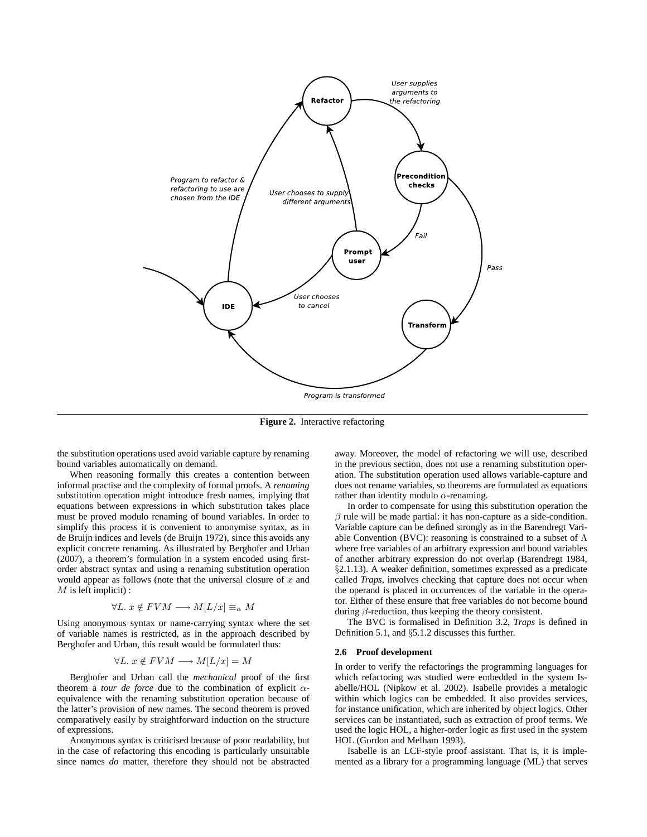

**Figure 2.** Interactive refactoring

the substitution operations used avoid variable capture by renaming bound variables automatically on demand.

When reasoning formally this creates a contention between informal practise and the complexity of formal proofs. A *renaming* substitution operation might introduce fresh names, implying that equations between expressions in which substitution takes place must be proved modulo renaming of bound variables. In order to simplify this process it is convenient to anonymise syntax, as in de Bruijn indices and levels (de Bruijn 1972), since this avoids any explicit concrete renaming. As illustrated by Berghofer and Urban (2007), a theorem's formulation in a system encoded using firstorder abstract syntax and using a renaming substitution operation would appear as follows (note that the universal closure of  $x$  and  $M$  is left implicit) :

$$
\forall L. \; x \notin FVM \longrightarrow M[L/x] \equiv_{\alpha} M
$$

Using anonymous syntax or name-carrying syntax where the set of variable names is restricted, as in the approach described by Berghofer and Urban, this result would be formulated thus:

$$
\forall L. \; x \notin FVM \longrightarrow M[L/x] = M
$$

Berghofer and Urban call the *mechanical* proof of the first theorem a *tour de force* due to the combination of explicit αequivalence with the renaming substitution operation because of the latter's provision of new names. The second theorem is proved comparatively easily by straightforward induction on the structure of expressions.

Anonymous syntax is criticised because of poor readability, but in the case of refactoring this encoding is particularly unsuitable since names *do* matter, therefore they should not be abstracted away. Moreover, the model of refactoring we will use, described in the previous section, does not use a renaming substitution operation. The substitution operation used allows variable-capture and does not rename variables, so theorems are formulated as equations rather than identity modulo  $\alpha$ -renaming.

In order to compensate for using this substitution operation the  $\beta$  rule will be made partial: it has non-capture as a side-condition. Variable capture can be defined strongly as in the Barendregt Variable Convention (BVC): reasoning is constrained to a subset of  $\Lambda$ where free variables of an arbitrary expression and bound variables of another arbitrary expression do not overlap (Barendregt 1984, §2.1.13). A weaker definition, sometimes expressed as a predicate called *Traps*, involves checking that capture does not occur when the operand is placed in occurrences of the variable in the operator. Either of these ensure that free variables do not become bound during β-reduction, thus keeping the theory consistent.

The BVC is formalised in Definition 3.2, *Traps* is defined in Definition 5.1, and §5.1.2 discusses this further.

#### **2.6 Proof development**

In order to verify the refactorings the programming languages for which refactoring was studied were embedded in the system Isabelle/HOL (Nipkow et al. 2002). Isabelle provides a metalogic within which logics can be embedded. It also provides services, for instance unification, which are inherited by object logics. Other services can be instantiated, such as extraction of proof terms. We used the logic HOL, a higher-order logic as first used in the system HOL (Gordon and Melham 1993).

Isabelle is an LCF-style proof assistant. That is, it is implemented as a library for a programming language (ML) that serves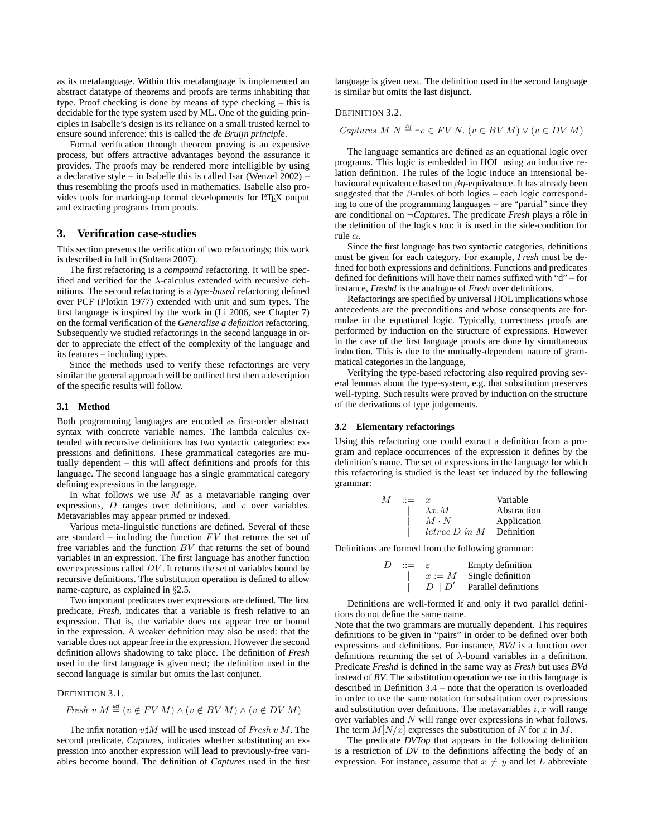as its metalanguage. Within this metalanguage is implemented an abstract datatype of theorems and proofs are terms inhabiting that type. Proof checking is done by means of type checking – this is decidable for the type system used by ML. One of the guiding principles in Isabelle's design is its reliance on a small trusted kernel to ensure sound inference: this is called the *de Bruijn principle*.

Formal verification through theorem proving is an expensive process, but offers attractive advantages beyond the assurance it provides. The proofs may be rendered more intelligible by using a declarative style – in Isabelle this is called Isar (Wenzel 2002) – thus resembling the proofs used in mathematics. Isabelle also provides tools for marking-up formal developments for LATEX output and extracting programs from proofs.

#### **3. Verification case-studies**

This section presents the verification of two refactorings; this work is described in full in (Sultana 2007).

The first refactoring is a *compound* refactoring. It will be specified and verified for the  $\lambda$ -calculus extended with recursive definitions. The second refactoring is a *type-based* refactoring defined over PCF (Plotkin 1977) extended with unit and sum types. The first language is inspired by the work in (Li 2006, see Chapter 7) on the formal verification of the *Generalise a definition* refactoring. Subsequently we studied refactorings in the second language in order to appreciate the effect of the complexity of the language and its features – including types.

Since the methods used to verify these refactorings are very similar the general approach will be outlined first then a description of the specific results will follow.

#### **3.1 Method**

Both programming languages are encoded as first-order abstract syntax with concrete variable names. The lambda calculus extended with recursive definitions has two syntactic categories: expressions and definitions. These grammatical categories are mutually dependent – this will affect definitions and proofs for this language. The second language has a single grammatical category defining expressions in the language.

In what follows we use  $\overline{M}$  as a metavariable ranging over expressions,  $D$  ranges over definitions, and  $v$  over variables. Metavariables may appear primed or indexed.

Various meta-linguistic functions are defined. Several of these are standard – including the function  $F<sup>V</sup>$  that returns the set of free variables and the function BV that returns the set of bound variables in an expression. The first language has another function over expressions called  $DV$ . It returns the set of variables bound by recursive definitions. The substitution operation is defined to allow name-capture, as explained in §2.5.

Two important predicates over expressions are defined. The first predicate, *Fresh*, indicates that a variable is fresh relative to an expression. That is, the variable does not appear free or bound in the expression. A weaker definition may also be used: that the variable does not appear free in the expression. However the second definition allows shadowing to take place. The definition of *Fresh* used in the first language is given next; the definition used in the second language is similar but omits the last conjunct.

#### DEFINITION 3.1.

*Fresh* 
$$
v
$$
  $M \stackrel{\text{def}}{=} (v \notin FVM) \land (v \notin BV M) \land (v \notin DV M)$ 

The infix notation  $v\sharp M$  will be used instead of Fresh v M. The second predicate, *Captures*, indicates whether substituting an expression into another expression will lead to previously-free variables become bound. The definition of *Captures* used in the first language is given next. The definition used in the second language is similar but omits the last disjunct.

#### DEFINITION 3.2.

#### Captures M  $N \stackrel{\text{def}}{=} \exists v \in FVN$ .  $(v \in BVM) \vee (v \in DVM)$

The language semantics are defined as an equational logic over programs. This logic is embedded in HOL using an inductive relation definition. The rules of the logic induce an intensional behavioural equivalence based on  $\beta\eta$ -equivalence. It has already been suggested that the  $\beta$ -rules of both logics – each logic corresponding to one of the programming languages – are "partial" since they are conditional on  $\neg$ *Captures*. The predicate *Fresh* plays a rôle in the definition of the logics too: it is used in the side-condition for rule  $\alpha$ .

Since the first language has two syntactic categories, definitions must be given for each category. For example, *Fresh* must be defined for both expressions and definitions. Functions and predicates defined for definitions will have their names suffixed with "d" – for instance, *Freshd* is the analogue of *Fresh* over definitions.

Refactorings are specified by universal HOL implications whose antecedents are the preconditions and whose consequents are formulae in the equational logic. Typically, correctness proofs are performed by induction on the structure of expressions. However in the case of the first language proofs are done by simultaneous induction. This is due to the mutually-dependent nature of grammatical categories in the language,

Verifying the type-based refactoring also required proving several lemmas about the type-system, e.g. that substitution preserves well-typing. Such results were proved by induction on the structure of the derivations of type judgements.

#### **3.2 Elementary refactorings**

Using this refactoring one could extract a definition from a program and replace occurrences of the expression it defines by the definition's name. The set of expressions in the language for which this refactoring is studied is the least set induced by the following grammar:

| M | $\boldsymbol{x}$  | Variable    |
|---|-------------------|-------------|
|   | $\lambda x.M$     | Abstraction |
|   | $M \cdot N$       | Application |
|   | $letrec D$ in $M$ | Definition  |

Definitions are formed from the following grammar:

$$
D ::= \varepsilon
$$
 Empty definition  
\n
$$
x := M
$$
 Single definition  
\n
$$
D || D'
$$
 Parallel definitions

Definitions are well-formed if and only if two parallel definitions do not define the same name.

Note that the two grammars are mutually dependent. This requires definitions to be given in "pairs" in order to be defined over both expressions and definitions. For instance, *BVd* is a function over definitions returning the set of  $\lambda$ -bound variables in a definition. Predicate *Freshd* is defined in the same way as *Fresh* but uses *BVd* instead of *BV*. The substitution operation we use in this language is described in Definition 3.4 – note that the operation is overloaded in order to use the same notation for substitution over expressions and substitution over definitions. The metavariables  $i, x$  will range over variables and N will range over expressions in what follows. The term  $M[N/x]$  expresses the substitution of N for x in M.

The predicate *DVTop* that appears in the following definition is a restriction of *DV* to the definitions affecting the body of an expression. For instance, assume that  $x \neq y$  and let L abbreviate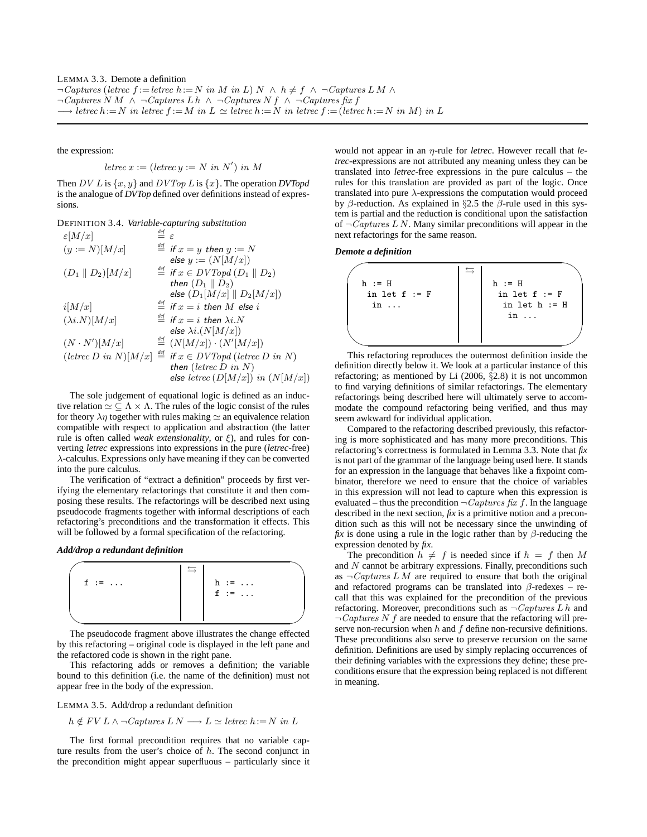$\neg \textit{Captures}$  (letrec f:=letrec h:=N in M in L) N  $\wedge$  h  $\neq$  f  $\wedge \neg \textit{Captures}$  L M  $\wedge$  $\neg Captures N M \wedge \neg Captures L h \wedge \neg Captures N f \wedge \neg Captures fix f$  $\rightarrow$  letrec  $h:=N$  in letrec  $f:=M$  in  $L \simeq$  letrec  $h:=N$  in letrec  $f:=(letrec h:=N$  in M) in L

the expression:

$$
letrec x := (letrec y := N in N') in M
$$

Then  $DV L$  is  $\{x, y\}$  and  $DV Top L$  is  $\{x\}$ . The operation *DVTopd* is the analogue of *DVTop* defined over definitions instead of expressions.

DEFINITION 3.4. *Variable-capturing substitution*

$$
\varepsilon[M/x] \qquad \begin{array}{lcl} \varepsilon[M/x] & \stackrel{\text{def}}{=} \varepsilon \\ (y:=N)[M/x] & \stackrel{\text{def}}{=} \text{ if } x=y \text{ then } y:=N \\ \text{else } y:= (N[M/x]) \\ (D_1 \parallel D_2)[M/x] & \stackrel{\text{def}}{=} \text{ if } x \in DVTopd(D_1 \parallel D_2) \\ \text{then } (D_1 \parallel D_2) \\ \text{else } (D_1[M/x] \parallel D_2[M/x]) \\ \text{if } M/x] & \stackrel{\text{def}}{=} \text{ if } x=i \text{ then } M \text{ else } i \\ \text{(}{\lambda i.N}][M/x] & \stackrel{\text{def}}{=} \text{ if } x=i \text{ then } \lambda i.N \\ \text{else } {\lambda i.(N[M/x])} \\ \text{(N} \cdot N')[M/x] & \stackrel{\text{def}}{=} (N[M/x]) \cdot (N'[M/x]) \\ \text{(letrec } D \text{ in } N)[M/x] & \stackrel{\text{def}}{=} \text{ if } x \in DVTopd(\text{letrec } D \text{ in } N) \\ \text{then } (\text{letrec } D \text{ in } N) \\ \text{else } \text{letrec } (D[M/x]) \text{ in } (N[M/x]) \end{array}
$$

The sole judgement of equational logic is defined as an inductive relation  $\simeq \subseteq \Lambda \times \Lambda$ . The rules of the logic consist of the rules for theory  $\lambda \eta$  together with rules making  $\simeq$  an equivalence relation compatible with respect to application and abstraction (the latter rule is often called *weak extensionality*, or  $\xi$ ), and rules for converting *letrec* expressions into expressions in the pure (*letrec*-free) λ-calculus. Expressions only have meaning if they can be converted into the pure calculus.

The verification of "extract a definition" proceeds by first verifying the elementary refactorings that constitute it and then composing these results. The refactorings will be described next using pseudocode fragments together with informal descriptions of each refactoring's preconditions and the transformation it effects. This will be followed by a formal specification of the refactoring.

#### *Add/drop a redundant definition*



The pseudocode fragment above illustrates the change effected by this refactoring – original code is displayed in the left pane and the refactored code is shown in the right pane.

This refactoring adds or removes a definition; the variable bound to this definition (i.e. the name of the definition) must not appear free in the body of the expression.

LEMMA 3.5. Add/drop a redundant definition

 $h \notin FVL \land \neg \textit{Captures} \ L \land \neg L \simeq \textit{letrec} \ h:=N \ in \ L$ 

The first formal precondition requires that no variable capture results from the user's choice of  $h$ . The second conjunct in the precondition might appear superfluous – particularly since it

would not appear in an η-rule for *letrec*. However recall that *letrec*-expressions are not attributed any meaning unless they can be translated into *letrec*-free expressions in the pure calculus – the rules for this translation are provided as part of the logic. Once translated into pure  $\lambda$ -expressions the computation would proceed by  $\beta$ -reduction. As explained in §2.5 the  $\beta$ -rule used in this system is partial and the reduction is conditional upon the satisfaction of  $\neg \textit{Captures} \textit{LN}$ . Many similar preconditions will appear in the next refactorings for the same reason.

*Demote a definition*



This refactoring reproduces the outermost definition inside the definition directly below it. We look at a particular instance of this refactoring; as mentioned by Li (2006,  $\S$ 2.8) it is not uncommon to find varying definitions of similar refactorings. The elementary refactorings being described here will ultimately serve to accommodate the compound refactoring being verified, and thus may seem awkward for individual application.

Compared to the refactoring described previously, this refactoring is more sophisticated and has many more preconditions. This refactoring's correctness is formulated in Lemma 3.3. Note that *fix* is not part of the grammar of the language being used here. It stands for an expression in the language that behaves like a fixpoint combinator, therefore we need to ensure that the choice of variables in this expression will not lead to capture when this expression is evaluated – thus the precondition  $\neg \textit{Captures}\$  fix f. In the language described in the next section, *fix* is a primitive notion and a precondition such as this will not be necessary since the unwinding of *fix* is done using a rule in the logic rather than by  $\beta$ -reducing the expression denoted by *fix*.

The precondition  $h \neq f$  is needed since if  $h = f$  then M and N cannot be arbitrary expressions. Finally, preconditions such as  $\neg \textit{Captures} L \textit{M}$  are required to ensure that both the original and refactored programs can be translated into  $\beta$ -redexes – recall that this was explained for the precondition of the previous refactoring. Moreover, preconditions such as  $\neg Captures L h$  and  $\neg \textit{Captures}\ N f$  are needed to ensure that the refactoring will preserve non-recursion when  $h$  and  $f$  define non-recursive definitions. These preconditions also serve to preserve recursion on the same definition. Definitions are used by simply replacing occurrences of their defining variables with the expressions they define; these preconditions ensure that the expression being replaced is not different in meaning.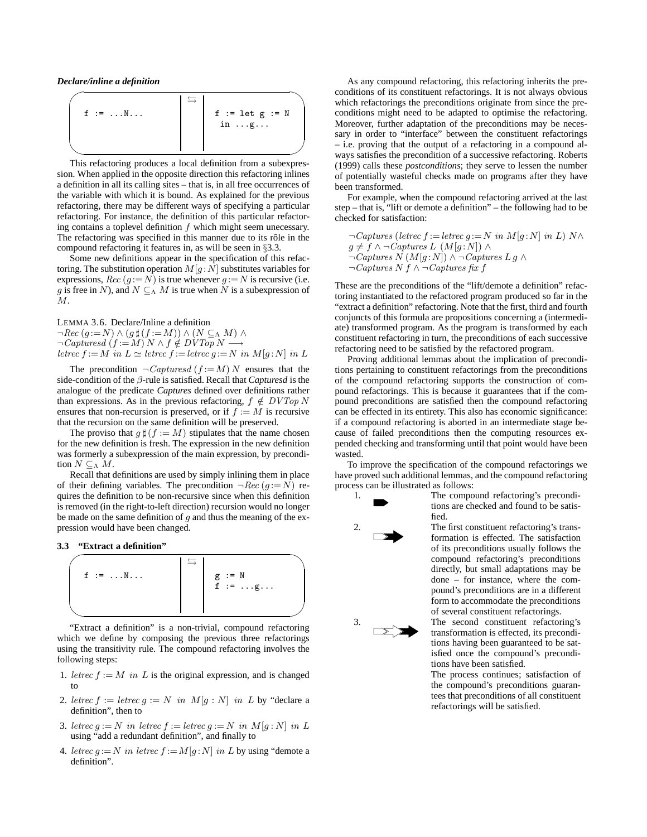*Declare/inline a definition*

| $f :=  N$ | $f := let g := N$<br>$in \ldots g \ldots$ |
|-----------|-------------------------------------------|
|           |                                           |

This refactoring produces a local definition from a subexpression. When applied in the opposite direction this refactoring inlines a definition in all its calling sites – that is, in all free occurrences of the variable with which it is bound. As explained for the previous refactoring, there may be different ways of specifying a particular refactoring. For instance, the definition of this particular refactoring contains a toplevel definition  $f$  which might seem unecessary. The refactoring was specified in this manner due to its rôle in the compound refactoring it features in, as will be seen in §3.3.

Some new definitions appear in the specification of this refactoring. The substitution operation  $M[g: N]$  substitutes variables for expressions,  $Rec(g := N)$  is true whenever  $g := N$  is recursive (i.e. g is free in N), and  $N \subseteq_{\Lambda} M$  is true when N is a subexpression of  $M_{\odot}$ 

LEMMA 3.6. Declare/Inline a definition

 $\neg Rec (g := N) \land (g \sharp (f := M)) \land (N \subseteq \Lambda M) \land$  $\neg \textit{Capturesd} (f := M) N \wedge f \notin DVTop N \longrightarrow$ letrec  $f := M$  in  $L \simeq$  letrec  $f :=$  letrec  $g := N$  in  $M[g : N]$  in  $L$ 

The precondition  $\neg \textit{Capturesd} (f := M) N$  ensures that the side-condition of the β-rule is satisfied. Recall that *Capturesd* is the analogue of the predicate *Captures* defined over definitions rather than expressions. As in the previous refactoring,  $f \notin DVTop N$ ensures that non-recursion is preserved, or if  $f := M$  is recursive that the recursion on the same definition will be preserved.

The proviso that  $g \sharp (f := M)$  stipulates that the name chosen for the new definition is fresh. The expression in the new definition was formerly a subexpression of the main expression, by precondition  $N \subseteq_{\Lambda} M$ .

Recall that definitions are used by simply inlining them in place of their defining variables. The precondition  $\neg Rec (q := N)$  requires the definition to be non-recursive since when this definition is removed (in the right-to-left direction) recursion would no longer be made on the same definition of  $g$  and thus the meaning of the expression would have been changed.

#### **3.3 "Extract a definition"**



"Extract a definition" is a non-trivial, compound refactoring which we define by composing the previous three refactorings using the transitivity rule. The compound refactoring involves the following steps:

- 1. *letrec*  $f := M$  in L is the original expression, and is changed to
- 2. letrec  $f :=$  letrec  $g := N$  in  $M[g : N]$  in  $L$  by "declare a definition", then to
- 3. letrec  $g := N$  in letrec  $f :=$  letrec  $g := N$  in  $M[g : N]$  in  $L$ using "add a redundant definition", and finally to
- 4. letrec  $g := N$  in letrec  $f := M[g : N]$  in L by using "demote a definition".

As any compound refactoring, this refactoring inherits the preconditions of its constituent refactorings. It is not always obvious which refactorings the preconditions originate from since the preconditions might need to be adapted to optimise the refactoring. Moreover, further adaptation of the preconditions may be necessary in order to "interface" between the constituent refactorings – i.e. proving that the output of a refactoring in a compound always satisfies the precondition of a successive refactoring. Roberts (1999) calls these *postconditions*; they serve to lessen the number of potentially wasteful checks made on programs after they have been transformed.

For example, when the compound refactoring arrived at the last step – that is, "lift or demote a definition" – the following had to be checked for satisfaction:

 $\neg Captures (letrec f := letrec g := N in M[g:N] in L) N \wedge$  $g \neq f \land \neg \textit{Captures L} \ (M[g:N]) \land$  $\neg \textit{Captures N} (M[g:N]) \wedge \neg \textit{Captures} L g \wedge$  $\neg \textit{Captures}\ Nf \land \neg \textit{Captures}\ fix\ f$ 

These are the preconditions of the "lift/demote a definition" refactoring instantiated to the refactored program produced so far in the "extract a definition" refactoring. Note that the first, third and fourth conjuncts of this formula are propositions concerning a (intermediate) transformed program. As the program is transformed by each constituent refactoring in turn, the preconditions of each successive refactoring need to be satisfied by the refactored program.

Proving additional lemmas about the implication of preconditions pertaining to constituent refactorings from the preconditions of the compound refactoring supports the construction of compound refactorings. This is because it guarantees that if the compound preconditions are satisfied then the compound refactoring can be effected in its entirety. This also has economic significance: if a compound refactoring is aborted in an intermediate stage because of failed preconditions then the computing resources expended checking and transforming until that point would have been wasted.

To improve the specification of the compound refactorings we have proved such additional lemmas, and the compound refactoring process can be illustrated as follows:



1. The compound refactoring's preconditions are checked and found to be satisfied.

> The first constituent refactoring's transformation is effected. The satisfaction of its preconditions usually follows the compound refactoring's preconditions directly, but small adaptations may be done – for instance, where the compound's preconditions are in a different form to accommodate the preconditions of several constituent refactorings.

3. The second constituent refactoring's transformation is effected, its preconditransformation is effected, its preconditions having been guaranteed to be satisfied once the compound's preconditions have been satisfied.

> The process continues; satisfaction of the compound's preconditions guarantees that preconditions of all constituent refactorings will be satisfied.

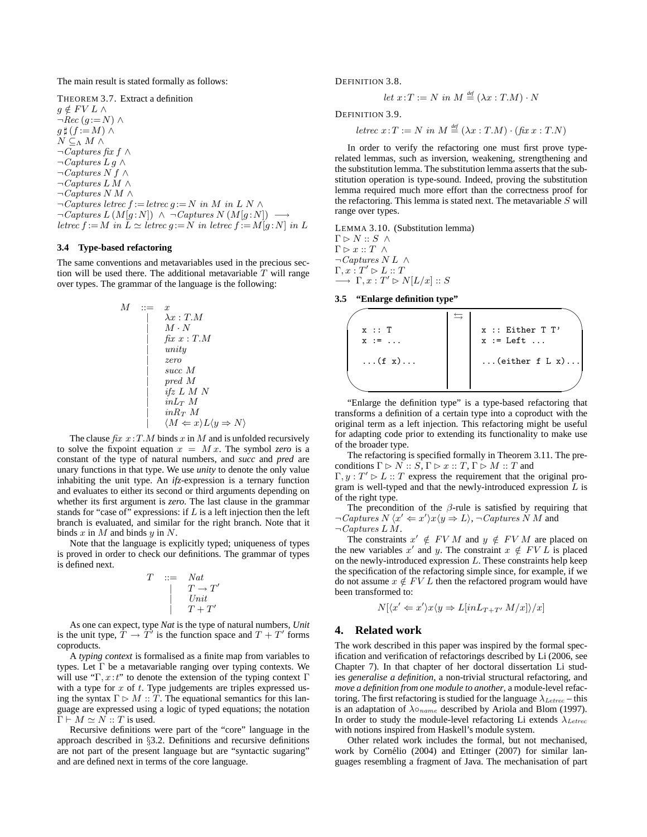The main result is stated formally as follows:

THEOREM 3.7. Extract a definition  $g \notin FV L \wedge$  $\neg Rec(g := N) \wedge$  $g \sharp (f := M) \wedge$  $N \subseteq_{\Lambda} M \wedge$ ¬Captures fix f ∧  $\neg \textit{Captures} \textit{L} \textit{g} \wedge$  $\neg \textit{Captures}\ N\ f\ \wedge$  $\neg Captures~L M \wedge$  $\neg Captures N M \wedge$  $\neg Captures \, letrec \, f := letrec \, g := N \, in \, M \, in \, L \, N \, \wedge$  $\neg \textit{Captures L}(M[g:N]) \wedge \neg \textit{Captures N}(M[g:N]) \longrightarrow$ letrec  $f := M$  in  $\overline{L} \simeq$  letrec  $g := N$  in letrec  $f := M[g : N]$  in  $\overline{L}$ 

#### **3.4 Type-based refactoring**

The same conventions and metavariables used in the precious section will be used there. The additional metavariable  $T$  will range over types. The grammar of the language is the following:

$$
M \begin{array}{rcl} ::= & x \\ & \lambda x : T.M \\ & M \cdot N \\ & fix \; x : T.M \\ & unity \\ & zero \\ & succ \; M \\ & pred \; M \\ & if z \; L \; M \; N \\ & inf_T \; M \\ & inf_T \; M \\ & (M \Leftarrow x) L \langle y \Rightarrow N \rangle \end{array}
$$

The clause  $fix x: T.M$  binds x in M and is unfolded recursively to solve the fixpoint equation  $x = M x$ . The symbol *zero* is a constant of the type of natural numbers, and *succ* and *pred* are unary functions in that type. We use *unity* to denote the only value inhabiting the unit type. An *ifz*-expression is a ternary function and evaluates to either its second or third arguments depending on whether its first argument is *zero*. The last clause in the grammar stands for "case of" expressions: if  $L$  is a left injection then the left branch is evaluated, and similar for the right branch. Note that it binds x in M and binds  $y$  in N.

Note that the language is explicitly typed; uniqueness of types is proved in order to check our definitions. The grammar of types is defined next.

$$
\begin{array}{ccc}\nT & ::= & Nat \\
& | & T \rightarrow T' \\
& l & Unit \\
& & T + T'\n\end{array}
$$

As one can expect, type *Nat* is the type of natural numbers, *Unit* is the unit type,  $T \rightarrow T'$  is the function space and  $T + T'$  forms coproducts.

A *typing context* is formalised as a finite map from variables to types. Let  $\Gamma$  be a metavariable ranging over typing contexts. We will use "Γ,  $x: t$ " to denote the extension of the typing context Γ with a type for  $x$  of  $t$ . Type judgements are triples expressed using the syntax  $\Gamma \rhd M :: T$ . The equational semantics for this language are expressed using a logic of typed equations; the notation  $\Gamma \vdash M \simeq N :: T$  is used.

Recursive definitions were part of the "core" language in the approach described in §3.2. Definitions and recursive definitions are not part of the present language but are "syntactic sugaring" and are defined next in terms of the core language.

DEFINITION 3.8.

let 
$$
x: T := N
$$
 in  $M \stackrel{\text{def}}{=} (\lambda x: T.M) \cdot N$ 

DEFINITION 3.9.

*letrec* 
$$
x: T := N
$$
 *in*  $M \stackrel{\text{def}}{=} (\lambda x: T.M) \cdot (fix\ x: T.N)$ 

In order to verify the refactoring one must first prove typerelated lemmas, such as inversion, weakening, strengthening and the substitution lemma. The substitution lemma asserts that the substitution operation is type-sound. Indeed, proving the substitution lemma required much more effort than the correctness proof for the refactoring. This lemma is stated next. The metavariable  $S$  will range over types.

LEMMA 3.10. (Substitution lemma)  $\Gamma \rhd N :: S ~\wedge$  $\Gamma \triangleright x :: T \land$  $\neg \textit{Captures} \ N \ L \ \land$  $\Gamma, x : T' \triangleright L :: T$  $\longrightarrow \Gamma, x : T' \triangleright N[L/x] :: S$ 

| 3.5 |  | "Enlarge definition type" |  |
|-----|--|---------------------------|--|
|-----|--|---------------------------|--|

|                         | $\leftrightharpoons$ |                                                |
|-------------------------|----------------------|------------------------------------------------|
| x :: T<br>$X := \ldots$ |                      | $x ::$ Either T T'<br>$x := \text{Left} \dots$ |
| $\ldots$ (f x)          |                      | $\ldots$ (either f L x)                        |
|                         |                      |                                                |

"Enlarge the definition type" is a type-based refactoring that transforms a definition of a certain type into a coproduct with the original term as a left injection. This refactoring might be useful for adapting code prior to extending its functionality to make use of the broader type.

The refactoring is specified formally in Theorem 3.11. The preconditions  $\Gamma \rhd N :: S, \Gamma \rhd x :: T, \Gamma \rhd M :: T$  and

 $\Gamma, y: T' \triangleright L :: T$  express the requirement that the original program is well-typed and that the newly-introduced expression  $L$  is of the right type.

The precondition of the  $\beta$ -rule is satisfied by requiring that  $\neg \textit{Captures} \ N \langle x' \Leftarrow x' \rangle x \langle y \Rightarrow L \rangle, \neg \textit{Captures} \ N \ M$  and  $\neg Captures~L~M.$ 

The constraints  $x' \notin FVM$  and  $y \notin FVM$  are placed on the new variables x' and y. The constraint  $x \notin FVL$  is placed on the newly-introduced expression  $L$ . These constraints help keep the specification of the refactoring simple since, for example, if we do not assume  $x \notin FVL$  then the refactored program would have been transformed to:

$$
N[\langle x' \Leftarrow x' \rangle x \langle y \Rightarrow L[i n L_{T+T'} M/x] \rangle / x]
$$

#### **4. Related work**

The work described in this paper was inspired by the formal specification and verification of refactorings described by Li (2006, see Chapter 7). In that chapter of her doctoral dissertation Li studies *generalise a definition*, a non-trivial structural refactoring, and *move a definition from one module to another*, a module-level refactoring. The first refactoring is studied for the language  $\lambda_{\text{Letrec}}$  – this is an adaptation of  $\lambda \circ_{name}$  described by Ariola and Blom (1997). In order to study the module-level refactoring Li extends  $\lambda_{\text{Letrec}}$ with notions inspired from Haskell's module system.

Other related work includes the formal, but not mechanised, work by Cornélio (2004) and Ettinger (2007) for similar languages resembling a fragment of Java. The mechanisation of part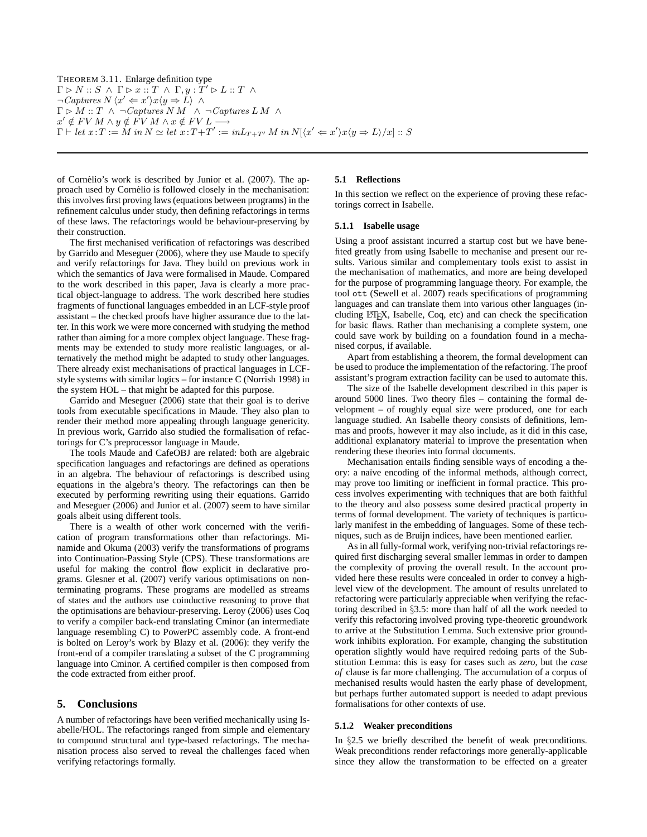THEOREM 3.11. Enlarge definition type  $\Gamma \rhd N :: S \;\wedge\; \Gamma \rhd x :: T \;\wedge\; \Gamma, y : T' \rhd L :: T \;\wedge\; \Gamma$  $\neg \textit{Captures}\ N\ \langle x'\Leftarrow x'\rangle x\langle y\Rightarrow \overset{\circ}{L}\rangle \ \land$  $\Gamma \rhd M :: T \wedge \neg \textit{Captures} \ N \ M \ \wedge \neg \textit{Captures} \ L \ M \ \wedge$  $x' \notin FVM \wedge y \notin FVM \wedge x \notin FVL \longrightarrow$  $\Gamma \vdash \text{let } x : T := M \text{ in } N \simeq \text{let } x : T + T' := \text{in} L_{T+T'} \text{ } M \text{ in } N[\langle x' \Leftarrow x' \rangle x \langle y \Rightarrow L \rangle / x] :: S$ 

of Cornélio's work is described by Junior et al. (2007). The approach used by Cornélio is followed closely in the mechanisation: this involves first proving laws (equations between programs) in the refinement calculus under study, then defining refactorings in terms of these laws. The refactorings would be behaviour-preserving by their construction.

The first mechanised verification of refactorings was described by Garrido and Meseguer (2006), where they use Maude to specify and verify refactorings for Java. They build on previous work in which the semantics of Java were formalised in Maude. Compared to the work described in this paper, Java is clearly a more practical object-language to address. The work described here studies fragments of functional languages embedded in an LCF-style proof assistant – the checked proofs have higher assurance due to the latter. In this work we were more concerned with studying the method rather than aiming for a more complex object language. These fragments may be extended to study more realistic languages, or alternatively the method might be adapted to study other languages. There already exist mechanisations of practical languages in LCFstyle systems with similar logics – for instance C (Norrish 1998) in the system HOL – that might be adapted for this purpose.

Garrido and Meseguer (2006) state that their goal is to derive tools from executable specifications in Maude. They also plan to render their method more appealing through language genericity. In previous work, Garrido also studied the formalisation of refactorings for C's preprocessor language in Maude.

The tools Maude and CafeOBJ are related: both are algebraic specification languages and refactorings are defined as operations in an algebra. The behaviour of refactorings is described using equations in the algebra's theory. The refactorings can then be executed by performing rewriting using their equations. Garrido and Meseguer (2006) and Junior et al. (2007) seem to have similar goals albeit using different tools.

There is a wealth of other work concerned with the verification of program transformations other than refactorings. Minamide and Okuma (2003) verify the transformations of programs into Continuation-Passing Style (CPS). These transformations are useful for making the control flow explicit in declarative programs. Glesner et al. (2007) verify various optimisations on nonterminating programs. These programs are modelled as streams of states and the authors use coinductive reasoning to prove that the optimisations are behaviour-preserving. Leroy (2006) uses Coq to verify a compiler back-end translating Cminor (an intermediate language resembling C) to PowerPC assembly code. A front-end is bolted on Leroy's work by Blazy et al. (2006): they verify the front-end of a compiler translating a subset of the C programming language into Cminor. A certified compiler is then composed from the code extracted from either proof.

#### **5. Conclusions**

A number of refactorings have been verified mechanically using Isabelle/HOL. The refactorings ranged from simple and elementary to compound structural and type-based refactorings. The mechanisation process also served to reveal the challenges faced when verifying refactorings formally.

#### **5.1 Reflections**

In this section we reflect on the experience of proving these refactorings correct in Isabelle.

#### **5.1.1 Isabelle usage**

Using a proof assistant incurred a startup cost but we have benefited greatly from using Isabelle to mechanise and present our results. Various similar and complementary tools exist to assist in the mechanisation of mathematics, and more are being developed for the purpose of programming language theory. For example, the tool ott (Sewell et al. 2007) reads specifications of programming languages and can translate them into various other languages (including L<sup>AT</sup>EX, Isabelle, Coq, etc) and can check the specification for basic flaws. Rather than mechanising a complete system, one could save work by building on a foundation found in a mechanised corpus, if available.

Apart from establishing a theorem, the formal development can be used to produce the implementation of the refactoring. The proof assistant's program extraction facility can be used to automate this.

The size of the Isabelle development described in this paper is around 5000 lines. Two theory files – containing the formal development – of roughly equal size were produced, one for each language studied. An Isabelle theory consists of definitions, lemmas and proofs, however it may also include, as it did in this case, additional explanatory material to improve the presentation when rendering these theories into formal documents.

Mechanisation entails finding sensible ways of encoding a theory: a na¨ıve encoding of the informal methods, although correct, may prove too limiting or inefficient in formal practice. This process involves experimenting with techniques that are both faithful to the theory and also possess some desired practical property in terms of formal development. The variety of techniques is particularly manifest in the embedding of languages. Some of these techniques, such as de Bruijn indices, have been mentioned earlier.

As in all fully-formal work, verifying non-trivial refactorings required first discharging several smaller lemmas in order to dampen the complexity of proving the overall result. In the account provided here these results were concealed in order to convey a highlevel view of the development. The amount of results unrelated to refactoring were particularly appreciable when verifying the refactoring described in §3.5: more than half of all the work needed to verify this refactoring involved proving type-theoretic groundwork to arrive at the Substitution Lemma. Such extensive prior groundwork inhibits exploration. For example, changing the substitution operation slightly would have required redoing parts of the Substitution Lemma: this is easy for cases such as *zero*, but the *case of* clause is far more challenging. The accumulation of a corpus of mechanised results would hasten the early phase of development, but perhaps further automated support is needed to adapt previous formalisations for other contexts of use.

#### **5.1.2 Weaker preconditions**

In §2.5 we briefly described the benefit of weak preconditions. Weak preconditions render refactorings more generally-applicable since they allow the transformation to be effected on a greater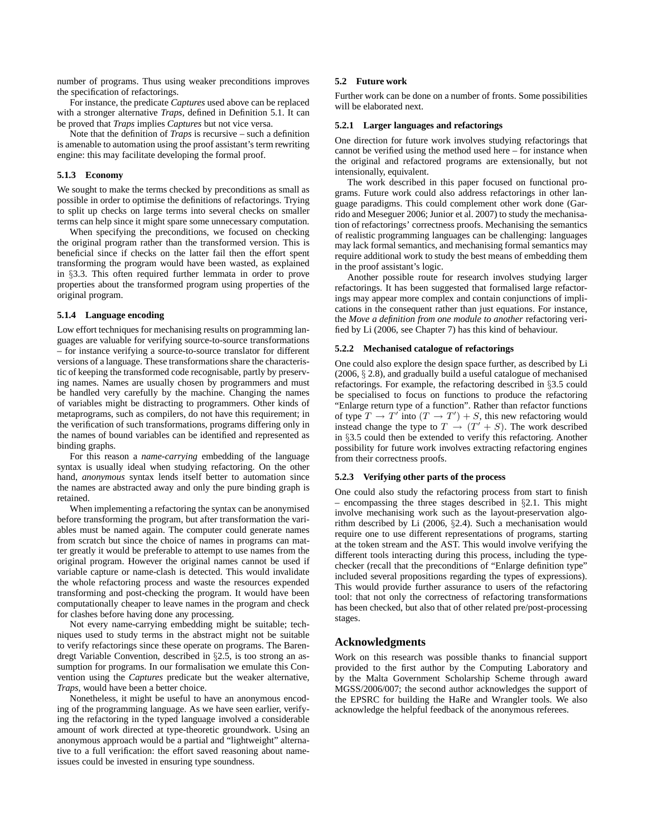number of programs. Thus using weaker preconditions improves the specification of refactorings.

For instance, the predicate *Captures* used above can be replaced with a stronger alternative *Traps*, defined in Definition 5.1. It can be proved that *Traps* implies *Captures* but not vice versa.

Note that the definition of *Traps* is recursive – such a definition is amenable to automation using the proof assistant's term rewriting engine: this may facilitate developing the formal proof.

#### **5.1.3 Economy**

We sought to make the terms checked by preconditions as small as possible in order to optimise the definitions of refactorings. Trying to split up checks on large terms into several checks on smaller terms can help since it might spare some unnecessary computation.

When specifying the preconditions, we focused on checking the original program rather than the transformed version. This is beneficial since if checks on the latter fail then the effort spent transforming the program would have been wasted, as explained in §3.3. This often required further lemmata in order to prove properties about the transformed program using properties of the original program.

#### **5.1.4 Language encoding**

Low effort techniques for mechanising results on programming languages are valuable for verifying source-to-source transformations – for instance verifying a source-to-source translator for different versions of a language. These transformations share the characteristic of keeping the transformed code recognisable, partly by preserving names. Names are usually chosen by programmers and must be handled very carefully by the machine. Changing the names of variables might be distracting to programmers. Other kinds of metaprograms, such as compilers, do not have this requirement; in the verification of such transformations, programs differing only in the names of bound variables can be identified and represented as binding graphs.

For this reason a *name-carrying* embedding of the language syntax is usually ideal when studying refactoring. On the other hand, *anonymous* syntax lends itself better to automation since the names are abstracted away and only the pure binding graph is retained.

When implementing a refactoring the syntax can be anonymised before transforming the program, but after transformation the variables must be named again. The computer could generate names from scratch but since the choice of names in programs can matter greatly it would be preferable to attempt to use names from the original program. However the original names cannot be used if variable capture or name-clash is detected. This would invalidate the whole refactoring process and waste the resources expended transforming and post-checking the program. It would have been computationally cheaper to leave names in the program and check for clashes before having done any processing.

Not every name-carrying embedding might be suitable; techniques used to study terms in the abstract might not be suitable to verify refactorings since these operate on programs. The Barendregt Variable Convention, described in §2.5, is too strong an assumption for programs. In our formalisation we emulate this Convention using the *Captures* predicate but the weaker alternative, *Traps*, would have been a better choice.

Nonetheless, it might be useful to have an anonymous encoding of the programming language. As we have seen earlier, verifying the refactoring in the typed language involved a considerable amount of work directed at type-theoretic groundwork. Using an anonymous approach would be a partial and "lightweight" alternative to a full verification: the effort saved reasoning about nameissues could be invested in ensuring type soundness.

#### **5.2 Future work**

Further work can be done on a number of fronts. Some possibilities will be elaborated next.

#### **5.2.1 Larger languages and refactorings**

One direction for future work involves studying refactorings that cannot be verified using the method used here – for instance when the original and refactored programs are extensionally, but not intensionally, equivalent.

The work described in this paper focused on functional programs. Future work could also address refactorings in other language paradigms. This could complement other work done (Garrido and Meseguer 2006; Junior et al. 2007) to study the mechanisation of refactorings' correctness proofs. Mechanising the semantics of realistic programming languages can be challenging: languages may lack formal semantics, and mechanising formal semantics may require additional work to study the best means of embedding them in the proof assistant's logic.

Another possible route for research involves studying larger refactorings. It has been suggested that formalised large refactorings may appear more complex and contain conjunctions of implications in the consequent rather than just equations. For instance, the *Move a definition from one module to another* refactoring verified by Li (2006, see Chapter 7) has this kind of behaviour.

#### **5.2.2 Mechanised catalogue of refactorings**

One could also explore the design space further, as described by Li (2006, § 2.8), and gradually build a useful catalogue of mechanised refactorings. For example, the refactoring described in §3.5 could be specialised to focus on functions to produce the refactoring "Enlarge return type of a function". Rather than refactor functions of type  $T \to T'$  into  $(T \to T') + S$ , this new refactoring would instead change the type to  $T \rightarrow (T' + S)$ . The work described in §3.5 could then be extended to verify this refactoring. Another possibility for future work involves extracting refactoring engines from their correctness proofs.

#### **5.2.3 Verifying other parts of the process**

One could also study the refactoring process from start to finish – encompassing the three stages described in  $\S 2.1$ . This might involve mechanising work such as the layout-preservation algorithm described by Li (2006, §2.4). Such a mechanisation would require one to use different representations of programs, starting at the token stream and the AST. This would involve verifying the different tools interacting during this process, including the typechecker (recall that the preconditions of "Enlarge definition type" included several propositions regarding the types of expressions). This would provide further assurance to users of the refactoring tool: that not only the correctness of refactoring transformations has been checked, but also that of other related pre/post-processing stages.

#### **Acknowledgments**

Work on this research was possible thanks to financial support provided to the first author by the Computing Laboratory and by the Malta Government Scholarship Scheme through award MGSS/2006/007; the second author acknowledges the support of the EPSRC for building the HaRe and Wrangler tools. We also acknowledge the helpful feedback of the anonymous referees.